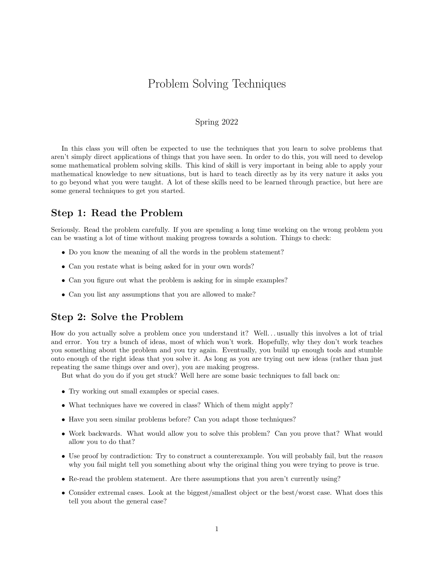# Problem Solving Techniques

#### Spring 2022

In this class you will often be expected to use the techniques that you learn to solve problems that aren't simply direct applications of things that you have seen. In order to do this, you will need to develop some mathematical problem solving skills. This kind of skill is very important in being able to apply your mathematical knowledge to new situations, but is hard to teach directly as by its very nature it asks you to go beyond what you were taught. A lot of these skills need to be learned through practice, but here are some general techniques to get you started.

#### Step 1: Read the Problem

Seriously. Read the problem carefully. If you are spending a long time working on the wrong problem you can be wasting a lot of time without making progress towards a solution. Things to check:

- Do you know the meaning of all the words in the problem statement?
- Can you restate what is being asked for in your own words?
- Can you figure out what the problem is asking for in simple examples?
- Can you list any assumptions that you are allowed to make?

#### Step 2: Solve the Problem

How do you actually solve a problem once you understand it? Well. . . usually this involves a lot of trial and error. You try a bunch of ideas, most of which won't work. Hopefully, why they don't work teaches you something about the problem and you try again. Eventually, you build up enough tools and stumble onto enough of the right ideas that you solve it. As long as you are trying out new ideas (rather than just repeating the same things over and over), you are making progress.

But what do you do if you get stuck? Well here are some basic techniques to fall back on:

- Try working out small examples or special cases.
- What techniques have we covered in class? Which of them might apply?
- Have you seen similar problems before? Can you adapt those techniques?
- Work backwards. What would allow you to solve this problem? Can you prove that? What would allow you to do that?
- Use proof by contradiction: Try to construct a counterexample. You will probably fail, but the reason why you fail might tell you something about why the original thing you were trying to prove is true.
- Re-read the problem statement. Are there assumptions that you aren't currently using?
- Consider extremal cases. Look at the biggest/smallest object or the best/worst case. What does this tell you about the general case?